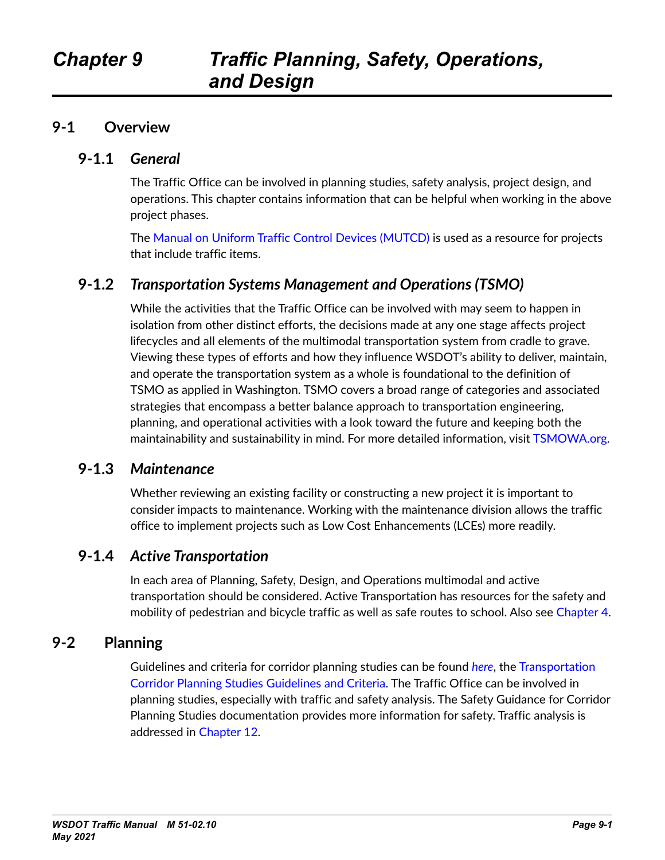#### **9-1 Overview**

#### **9-1.1** *General*

The Traffic Office can be involved in planning studies, safety analysis, project design, and operations. This chapter contains information that can be helpful when working in the above project phases.

The [Manual on Uniform Traffic Control Devices \(MUTCD\) i](https://mutcd.fhwa.dot.gov/index.htm)s used as a resource for projects that include traffic items.

#### **9-1.2** *Transportation Systems Management and Operations (TSMO)*

While the activities that the Traffic Office can be involved with may seem to happen in isolation from other distinct efforts, the decisions made at any one stage affects project lifecycles and all elements of the multimodal transportation system from cradle to grave. Viewing these types of efforts and how they influence WSDOT's ability to deliver, maintain, and operate the transportation system as a whole is foundational to the definition of TSMO as applied in Washington. TSMO covers a broad range of categories and associated strategies that encompass a better balance approach to transportation engineering, planning, and operational activities with a look toward the future and keeping both the maintainability and sustainability in mind. For more detailed information, visit [TSMOWA.org](https://tsmowa.org/).

#### **9-1.3** *Maintenance*

Whether reviewing an existing facility or constructing a new project it is important to consider impacts to maintenance. Working with the maintenance division allows the traffic office to implement projects such as Low Cost Enhancements (LCEs) more readily.

### **9-1.4** *Active Transportation*

In each area of Planning, Safety, Design, and Operations multimodal and active transportation should be considered. [Active Transportation](https://www.wsdot.wa.gov/LocalPrograms/ATP/default.htm) has resources for the safety and mobility of pedestrian and bicycle traffic as well as safe routes to school. Also see Chapter 4.

### **9-2 Planning**

Guidelines and criteria for corridor planning studies can be found *[here](https://www.wsdot.wa.gov/publications/manuals/fulltext/M3033/PSGC.pdf)*, the [Transportation](https://www.wsdot.wa.gov/publications/manuals/fulltext/M3033/PSGC.pdf)  [Corridor Planning Studies Guidelines and Criteria](https://www.wsdot.wa.gov/publications/manuals/fulltext/M3033/PSGC.pdf). The Traffic Office can be involved in planning studies, especially with traffic and safety analysis. The Safety Guidance for Corridor Planning Studies documentation provides more information for safety. Traffic analysis is addressed in [Chapter 12](#page--1-0).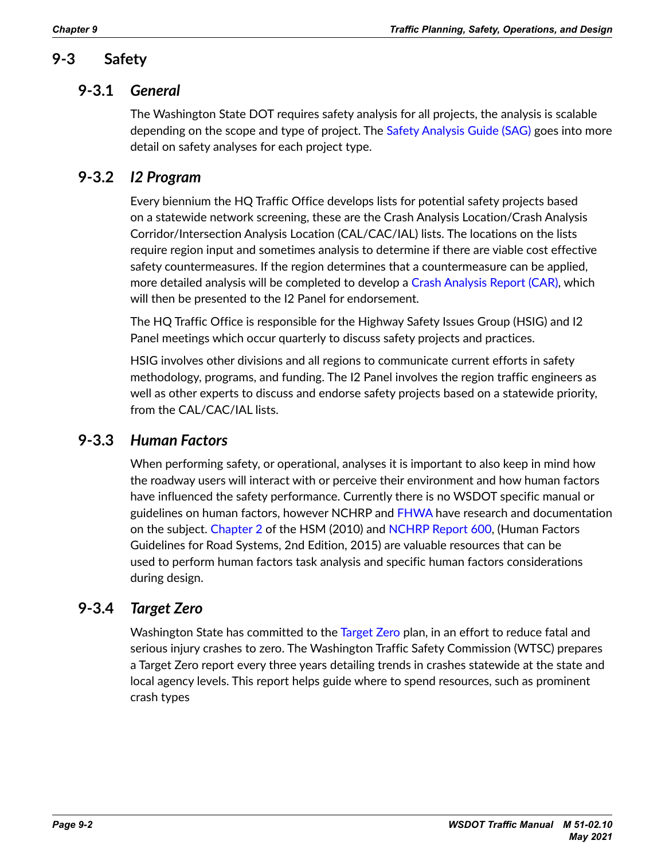# **9-3 Safety**

#### **9-3.1** *General*

The Washington State DOT requires safety analysis for all projects, the analysis is scalable depending on the scope and type of project. The [Safety Analysis Guide \(SAG\)](https://www.wsdot.wa.gov/publications/fulltext/design/ASDE/Safety-Analysis-Guide.pdf) goes into more detail on safety analyses for each project type.

## **9-3.2** *I2 Program*

Every biennium the HQ Traffic Office develops lists for potential safety projects based on a statewide network screening, these are the Crash Analysis Location/Crash Analysis Corridor/Intersection Analysis Location (CAL/CAC/IAL) lists. The locations on the lists require region input and sometimes analysis to determine if there are viable cost effective safety countermeasures. If the region determines that a countermeasure can be applied, more detailed analysis will be completed to develop a [Crash Analysis Report \(CAR\)](http://sharedot/ops/traffic/Traffic Safety/Forms/AllItems.aspx?RootFolder=%2Fops%2Ftraffic%2FTraffic%20Safety%2FTM%20Ch%209%2FCAR%20Template&FolderCTID=0x012000D17BD9979EDAAC49B8AFCDFC3CDCD05C&View=%7B6EA61184%2DC80F%2D481F%2D8D95%2DF330C5904172%7D), which will then be presented to the I2 Panel for endorsement.

The HQ Traffic Office is responsible for the Highway Safety Issues Group (HSIG) and I2 Panel meetings which occur quarterly to discuss safety projects and practices.

HSIG involves other divisions and all regions to communicate current efforts in safety methodology, programs, and funding. The I2 Panel involves the region traffic engineers as well as other experts to discuss and endorse safety projects based on a statewide priority, from the CAL/CAC/IAL lists.

### **9-3.3** *Human Factors*

When performing safety, or operational, analyses it is important to also keep in mind how the roadway users will interact with or perceive their environment and how human factors have influenced the safety performance. Currently there is no WSDOT specific manual or guidelines on human factors, however NCHRP and [FHWA](https://www.fhwa.dot.gov/publications/research/safety/humanfac/) have research and documentation on the subject. [Chapter 2](#page--1-0) of the HSM (2010) and [NCHRP Report 600,](https://safety.fhwa.dot.gov/rsdp/toolbox-content.aspx?toolid=78) (Human Factors Guidelines for Road Systems, 2nd Edition, 2015) are valuable resources that can be used to perform human factors task analysis and specific human factors considerations during design.

### **9-3.4** *Target Zero*

Washington State has committed to the [Target Zero](https://wtsc.wa.gov/target-zero/) plan, in an effort to reduce fatal and serious injury crashes to zero. The Washington Traffic Safety Commission (WTSC) prepares a Target Zero report every three years detailing trends in crashes statewide at the state and local agency levels. This report helps guide where to spend resources, such as prominent crash types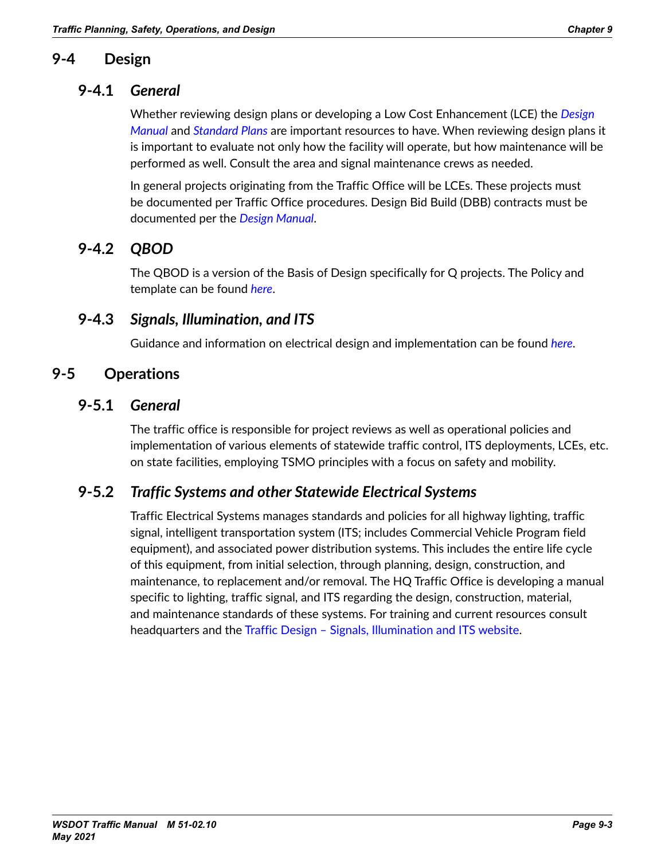## **9-4 Design**

#### **9-4.1** *General*

Whether reviewing design plans or developing a Low Cost Enhancement (LCE) the *[Design](https://www.wsdot.wa.gov/publications/manuals/fulltext/M22-01/design.pdf)  [Manual](https://www.wsdot.wa.gov/publications/manuals/fulltext/M22-01/design.pdf)* and *[Standard Plans](https://wsdot.wa.gov/publications/fulltext/Standards/Standard-Plan-Manual-September2020.pdf)* are important resources to have. When reviewing design plans it is important to evaluate not only how the facility will operate, but how maintenance will be performed as well. Consult the area and signal maintenance crews as needed.

In general projects originating from the Traffic Office will be LCEs. These projects must be documented per Traffic Office procedures. Design Bid Build (DBB) contracts must be documented per the *[Design Manual](https://www.wsdot.wa.gov/publications/manuals/fulltext/M22-01/design.pdf)*.

# **9-4.2** *QBOD*

The QBOD is a version of the Basis of Design specifically for Q projects. The Policy and template can be found *[here](http://sharedot/ops/traffic/Traffic Safety/Forms/AllItems.aspx?RootFolder=%2Fops%2Ftraffic%2FTraffic%20Safety%2FTM%20Ch%209%2FQBOD&FolderCTID=0x012000D17BD9979EDAAC49B8AFCDFC3CDCD05C&View=%7B6EA61184%2DC80F%2D481F%2D8D95%2DF330C5904172%7D)*.

#### **9-4.3** *Signals, Illumination, and ITS*

Guidance and information on electrical design and implementation can be found *[here](https://www.wsdot.wa.gov/Design/Traffic/Electrical/default.htm)*.

## **9-5 Operations**

#### **9-5.1** *General*

The traffic office is responsible for project reviews as well as operational policies and implementation of various elements of statewide traffic control, ITS deployments, LCEs, etc. on state facilities, employing TSMO principles with a focus on safety and mobility.

# **9-5.2** *Traffic Systems and other Statewide Electrical Systems*

Traffic Electrical Systems manages standards and policies for all highway lighting, traffic signal, intelligent transportation system (ITS; includes Commercial Vehicle Program field equipment), and associated power distribution systems. This includes the entire life cycle of this equipment, from initial selection, through planning, design, construction, and maintenance, to replacement and/or removal. The HQ Traffic Office is developing a manual specific to lighting, traffic signal, and ITS regarding the design, construction, material, and maintenance standards of these systems. For training and current resources consult headquarters and the Traffic Design - Signals, Illumination and ITS website.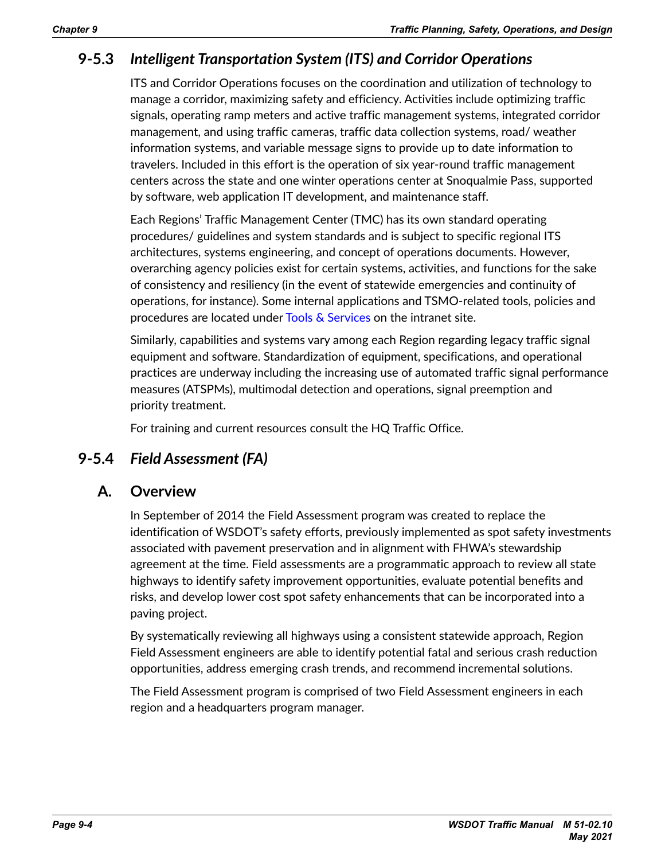# **9-5.3** *Intelligent Transportation System (ITS) and Corridor Operations*

ITS and Corridor Operations focuses on the coordination and utilization of technology to manage a corridor, maximizing safety and efficiency. Activities include optimizing traffic signals, operating ramp meters and active traffic management systems, integrated corridor management, and using traffic cameras, traffic data collection systems, road/ weather information systems, and variable message signs to provide up to date information to travelers. Included in this effort is the operation of six year-round traffic management centers across the state and one winter operations center at Snoqualmie Pass, supported by software, web application IT development, and maintenance staff.

Each Regions' Traffic Management Center (TMC) has its own standard operating procedures/ guidelines and system standards and is subject to specific regional ITS architectures, systems engineering, and concept of operations documents. However, overarching agency policies exist for certain systems, activities, and functions for the sake of consistency and resiliency (in the event of statewide emergencies and continuity of operations, for instance). Some internal applications and TSMO-related tools, policies and procedures are located under [Tools & Services](https://wwwi.wsdot.wa.gov/tools-services) on the intranet site.

Similarly, capabilities and systems vary among each Region regarding legacy traffic signal equipment and software. Standardization of equipment, specifications, and operational practices are underway including the increasing use of automated traffic signal performance measures (ATSPMs), multimodal detection and operations, signal preemption and priority treatment.

For training and current resources consult the HQ Traffic Office.

### **9-5.4** *Field Assessment (FA)*

#### **A. Overview**

In September of 2014 the Field Assessment program was created to replace the identification of WSDOT's safety efforts, previously implemented as spot safety investments associated with pavement preservation and in alignment with FHWA's stewardship agreement at the time. Field assessments are a programmatic approach to review all state highways to identify safety improvement opportunities, evaluate potential benefits and risks, and develop lower cost spot safety enhancements that can be incorporated into a paving project.

By systematically reviewing all highways using a consistent statewide approach, Region Field Assessment engineers are able to identify potential fatal and serious crash reduction opportunities, address emerging crash trends, and recommend incremental solutions.

The Field Assessment program is comprised of two Field Assessment engineers in each region and a headquarters program manager.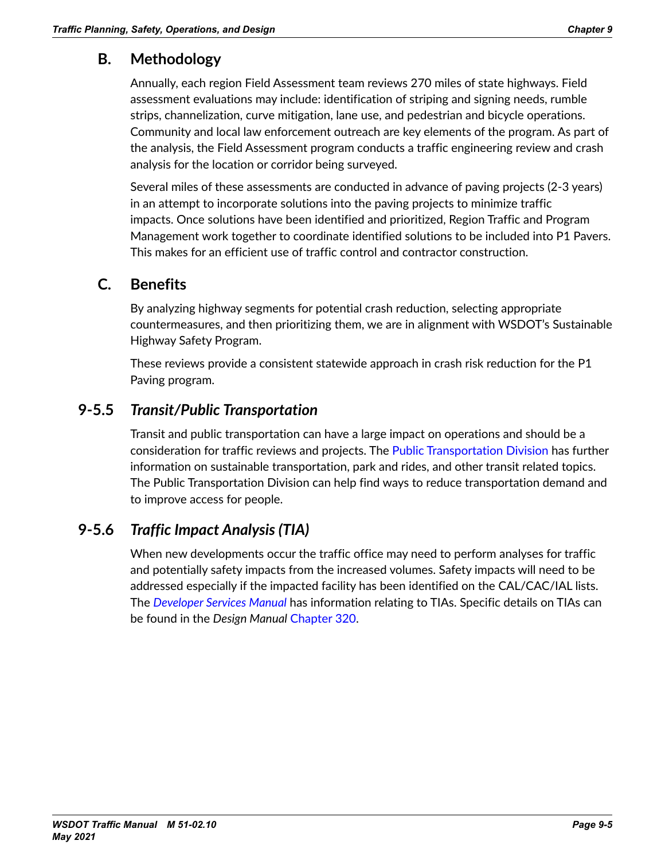# **B. Methodology**

Annually, each region Field Assessment team reviews 270 miles of state highways. Field assessment evaluations may include: identification of striping and signing needs, rumble strips, channelization, curve mitigation, lane use, and pedestrian and bicycle operations. Community and local law enforcement outreach are key elements of the program. As part of the analysis, the Field Assessment program conducts a traffic engineering review and crash analysis for the location or corridor being surveyed.

Several miles of these assessments are conducted in advance of paving projects (2-3 years) in an attempt to incorporate solutions into the paving projects to minimize traffic impacts. Once solutions have been identified and prioritized, Region Traffic and Program Management work together to coordinate identified solutions to be included into P1 Pavers. This makes for an efficient use of traffic control and contractor construction.

### **C. Benefits**

By analyzing highway segments for potential crash reduction, selecting appropriate countermeasures, and then prioritizing them, we are in alignment with WSDOT's Sustainable Highway Safety Program.

These reviews provide a consistent statewide approach in crash risk reduction for the P1 Paving program.

## **9-5.5** *Transit/Public Transportation*

Transit and public transportation can have a large impact on operations and should be a consideration for traffic reviews and projects. The [Public Transportation Division](https://wwwi.wsdot.wa.gov/about-us/offices-divisions/multimodal-development-delivery/public-transportation-division) has further information on sustainable transportation, park and rides, and other transit related topics. The Public Transportation Division can help find ways to reduce transportation demand and to improve access for people.

# **9-5.6** *Traffic Impact Analysis (TIA)*

When new developments occur the traffic office may need to perform analyses for traffic and potentially safety impacts from the increased volumes. Safety impacts will need to be addressed especially if the impacted facility has been identified on the CAL/CAC/IAL lists. The *[Developer Services Manual](https://www.wsdot.wa.gov/publications/manuals/fulltext/M3007/DSM.pdf)* has information relating to TIAs. Specific details on TIAs can be found in the *Design Manual* [Chapter 320.](https://www.wsdot.wa.gov/publications/manuals/fulltext/M22-01/320.pdf)